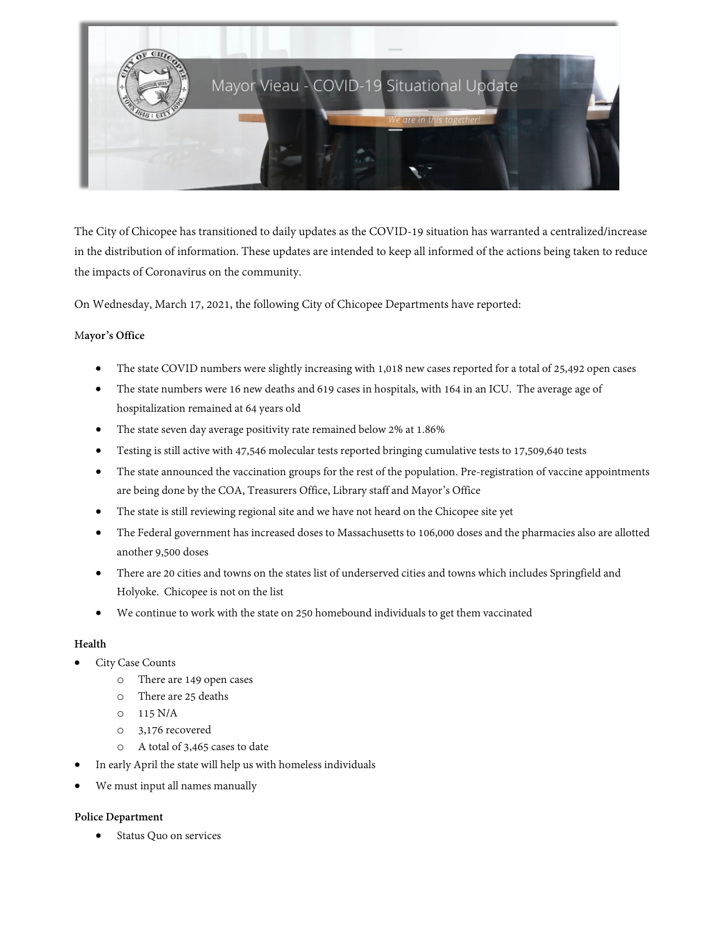

The City of Chicopee has transitioned to daily updates as the COVID-19 situation has warranted a centralized/increase in the distribution of information. These updates are intended to keep all informed of the actions being taken to reduce the impacts of Coronavirus on the community.

On Wednesday, March 17, 2021, the following City of Chicopee Departments have reported:

## M**ayor's Office**

- The state COVID numbers were slightly increasing with 1,018 new cases reported for a total of 25,492 open cases
- The state numbers were 16 new deaths and 619 cases in hospitals, with 164 in an ICU. The average age of hospitalization remained at 64 years old
- The state seven day average positivity rate remained below 2% at 1.86%
- Testing is still active with 47,546 molecular tests reported bringing cumulative tests to 17,509,640 tests
- The state announced the vaccination groups for the rest of the population. Pre-registration of vaccine appointments are being done by the COA, Treasurers Office, Library staff and Mayor's Office
- The state is still reviewing regional site and we have not heard on the Chicopee site yet
- The Federal government has increased doses to Massachusetts to 106,000 doses and the pharmacies also are allotted another 9,500 doses
- There are 20 cities and towns on the states list of underserved cities and towns which includes Springfield and Holyoke. Chicopee is not on the list
- We continue to work with the state on 250 homebound individuals to get them vaccinated

## **Health**

- City Case Counts
	- o There are 149 open cases
	- o There are 25 deaths
	- $O$  115 N/A
	- o 3,176 recovered
	- o A total of 3,465 cases to date
- In early April the state will help us with homeless individuals
- We must input all names manually

## **Police Department**

Status Quo on services